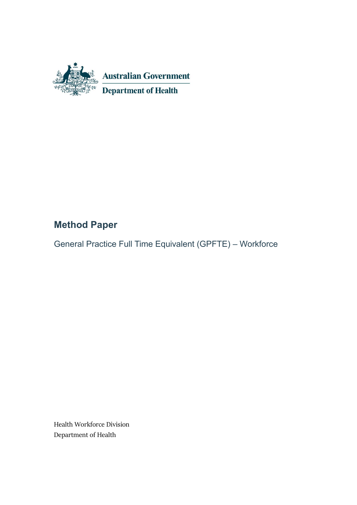

# **Method Paper**

General Practice Full Time Equivalent (GPFTE) – Workforce

Health Workforce Division Department of Health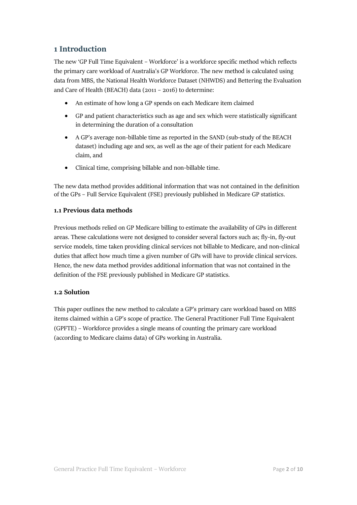# **1 Introduction**

The new 'GP Full Time Equivalent – Workforce' is a workforce specific method which reflects the primary care workload of Australia's GP Workforce. The new method is calculated using data from MBS, the National Health Workforce Dataset (NHWDS) and Bettering the Evaluation and Care of Health (BEACH) data (2011 – 2016) to determine:

- An estimate of how long a GP spends on each Medicare item claimed
- GP and patient characteristics such as age and sex which were statistically significant in determining the duration of a consultation
- A GP's average non-billable time as reported in the SAND (sub-study of the BEACH dataset) including age and sex, as well as the age of their patient for each Medicare claim, and
- Clinical time, comprising billable and non-billable time.

The new data method provides additional information that was not contained in the definition of the GPs – Full Service Equivalent (FSE) previously published in Medicare GP statistics.

## **1.1 Previous data methods**

Previous methods relied on GP Medicare billing to estimate the availability of GPs in different areas. These calculations were not designed to consider several factors such as; fly-in, fly-out service models, time taken providing clinical services not billable to Medicare, and non-clinical duties that affect how much time a given number of GPs will have to provide clinical services. Hence, the new data method provides additional information that was not contained in the definition of the FSE previously published in Medicare GP statistics.

## **1.2 Solution**

This paper outlines the new method to calculate a GP's primary care workload based on MBS items claimed within a GP's scope of practice. The General Practitioner Full Time Equivalent (GPFTE) – Workforce provides a single means of counting the primary care workload (according to Medicare claims data) of GPs working in Australia.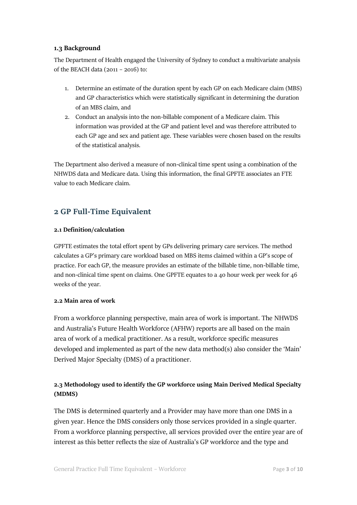### **1.3 Background**

The Department of Health engaged the University of Sydney to conduct a multivariate analysis of the BEACH data (2011 – 2016) to:

- 1. Determine an estimate of the duration spent by each GP on each Medicare claim (MBS) and GP characteristics which were statistically significant in determining the duration of an MBS claim, and
- 2. Conduct an analysis into the non-billable component of a Medicare claim. This information was provided at the GP and patient level and was therefore attributed to each GP age and sex and patient age. These variables were chosen based on the results of the statistical analysis.

The Department also derived a measure of non-clinical time spent using a combination of the NHWDS data and Medicare data. Using this information, the final GPFTE associates an FTE value to each Medicare claim.

# **2 GP Full-Time Equivalent**

#### **2.1 Definition/calculation**

GPFTE estimates the total effort spent by GPs delivering primary care services. The method calculates a GP's primary care workload based on MBS items claimed within a GP's scope of practice. For each GP, the measure provides an estimate of the billable time, non-billable time, and non-clinical time spent on claims. One GPFTE equates to a 40 hour week per week for 46 weeks of the year.

## **2.2 Main area of work**

From a workforce planning perspective, main area of work is important. The NHWDS and Australia's Future Health Workforce (AFHW) reports are all based on the main area of work of a medical practitioner. As a result, workforce specific measures developed and implemented as part of the new data method(s) also consider the 'Main' Derived Major Specialty (DMS) of a practitioner.

## **2.3 Methodology used to identify the GP workforce using Main Derived Medical Specialty (MDMS)**

The DMS is determined quarterly and a Provider may have more than one DMS in a given year. Hence the DMS considers only those services provided in a single quarter. From a workforce planning perspective, all services provided over the entire year are of interest as this better reflects the size of Australia's GP workforce and the type and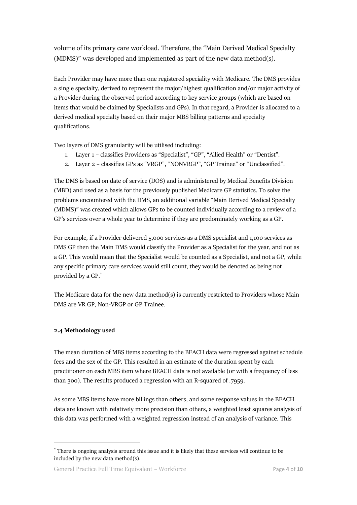volume of its primary care workload. Therefore, the "Main Derived Medical Specialty (MDMS)" was developed and implemented as part of the new data method(s).

Each Provider may have more than one registered speciality with Medicare. The DMS provides a single specialty, derived to represent the major/highest qualification and/or major activity of a Provider during the observed period according to key service groups (which are based on items that would be claimed by Specialists and GPs). In that regard, a Provider is allocated to a derived medical specialty based on their major MBS billing patterns and specialty qualifications.

Two layers of DMS granularity will be utilised including:

- 1. Layer 1 classifies Providers as "Specialist", "GP", "Allied Health" or "Dentist".
- 2. Layer 2 classifies GPs as "VRGP", "NONVRGP", "GP Trainee" or "Unclassified".

The DMS is based on date of service (DOS) and is administered by Medical Benefits Division (MBD) and used as a basis for the previously published Medicare GP statistics. To solve the problems encountered with the DMS, an additional variable "Main Derived Medical Specialty (MDMS)" was created which allows GPs to be counted individually according to a review of a GP's services over a whole year to determine if they are predominately working as a GP.

For example, if a Provider delivered 5,000 services as a DMS specialist and 1,100 services as DMS GP then the Main DMS would classify the Provider as a Specialist for the year, and not as a GP. This would mean that the Specialist would be counted as a Specialist, and not a GP, while any specific primary care services would still count, they would be denoted as being not provided by a GP. \*

The Medicare data for the new data method(s) is currently restricted to Providers whose Main DMS are VR GP, Non-VRGP or GP Trainee.

#### **2.4 Methodology used**

<u>.</u>

The mean duration of MBS items according to the BEACH data were regressed against schedule fees and the sex of the GP. This resulted in an estimate of the duration spent by each practitioner on each MBS item where BEACH data is not available (or with a frequency of less than 300). The results produced a regression with an R-squared of .7959.

As some MBS items have more billings than others, and some response values in the BEACH data are known with relatively more precision than others, a weighted least squares analysis of this data was performed with a weighted regression instead of an analysis of variance. This

<sup>\*</sup> There is ongoing analysis around this issue and it is likely that these services will continue to be included by the new data method(s).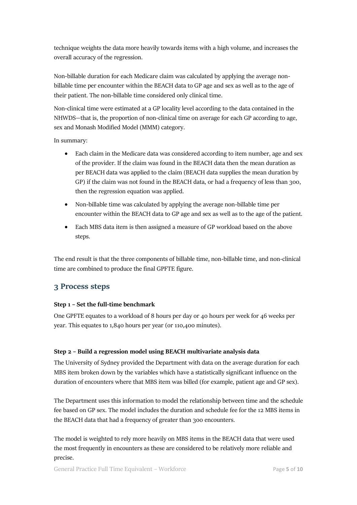technique weights the data more heavily towards items with a high volume, and increases the overall accuracy of the regression.

Non-billable duration for each Medicare claim was calculated by applying the average nonbillable time per encounter within the BEACH data to GP age and sex as well as to the age of their patient. The non-billable time considered only clinical time.

Non-clinical time were estimated at a GP locality level according to the data contained in the NHWDS—that is, the proportion of non-clinical time on average for each GP according to age, sex and Monash Modified Model (MMM) category.

In summary:

- Each claim in the Medicare data was considered according to item number, age and sex of the provider. If the claim was found in the BEACH data then the mean duration as per BEACH data was applied to the claim (BEACH data supplies the mean duration by GP) if the claim was not found in the BEACH data, or had a frequency of less than 300, then the regression equation was applied.
- Non-billable time was calculated by applying the average non-billable time per encounter within the BEACH data to GP age and sex as well as to the age of the patient.
- Each MBS data item is then assigned a measure of GP workload based on the above steps.

The end result is that the three components of billable time, non-billable time, and non-clinical time are combined to produce the final GPFTE figure.

## **3 Process steps**

#### **Step 1 – Set the full-time benchmark**

One GPFTE equates to a workload of 8 hours per day or 40 hours per week for 46 weeks per year. This equates to 1,840 hours per year (or 110,400 minutes).

#### **Step 2 – Build a regression model using BEACH multivariate analysis data**

The University of Sydney provided the Department with data on the average duration for each MBS item broken down by the variables which have a statistically significant influence on the duration of encounters where that MBS item was billed (for example, patient age and GP sex).

The Department uses this information to model the relationship between time and the schedule fee based on GP sex. The model includes the duration and schedule fee for the 12 MBS items in the BEACH data that had a frequency of greater than 300 encounters.

The model is weighted to rely more heavily on MBS items in the BEACH data that were used the most frequently in encounters as these are considered to be relatively more reliable and precise.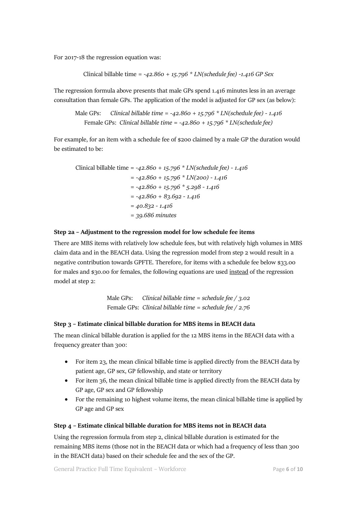For 2017-18 the regression equation was:

Clinical billable time *= -42.860 + 15.796 \* LN(schedule fee) -1.416 GP Sex*

The regression formula above presents that male GPs spend 1.416 minutes less in an average consultation than female GPs. The application of the model is adjusted for GP sex (as below):

Male GPs: *Clinical billable time = -42.860 + 15.796 \* LN(schedule fee) - 1.416* Female GPs: *Clinical billable time = -42.860 + 15.796 \* LN(schedule fee)*

For example, for an item with a schedule fee of \$200 claimed by a male GP the duration would be estimated to be:

Clinical billable time *= -42.860 + 15.796 \* LN(schedule fee) - 1.416 = -42.860 + 15.796 \* LN(200) - 1.416 = -42.860 + 15.796 \* 5.298 - 1.416 = -42.860 + 83.692 - 1.416 = 40.832 - 1.416 = 39.686 minutes*

#### **Step 2a – Adjustment to the regression model for low schedule fee items**

There are MBS items with relatively low schedule fees, but with relatively high volumes in MBS claim data and in the BEACH data. Using the regression model from step 2 would result in a negative contribution towards GPFTE. Therefore, for items with a schedule fee below \$33.00 for males and \$30.00 for females, the following equations are used instead of the regression model at step 2:

> Male GPs: *Clinical billable time = schedule fee / 3.02* Female GPs: *Clinical billable time = schedule fee / 2.76*

#### **Step 3 – Estimate clinical billable duration for MBS items in BEACH data**

The mean clinical billable duration is applied for the 12 MBS items in the BEACH data with a frequency greater than 300:

- For item 23, the mean clinical billable time is applied directly from the BEACH data by patient age, GP sex, GP fellowship, and state or territory
- For item 36, the mean clinical billable time is applied directly from the BEACH data by GP age, GP sex and GP fellowship
- For the remaining 10 highest volume items, the mean clinical billable time is applied by GP age and GP sex

#### **Step 4 – Estimate clinical billable duration for MBS items not in BEACH data**

Using the regression formula from step 2, clinical billable duration is estimated for the remaining MBS items (those not in the BEACH data or which had a frequency of less than 300 in the BEACH data) based on their schedule fee and the sex of the GP.

General Practice Full Time Equivalent – Workforce Page 6 of 10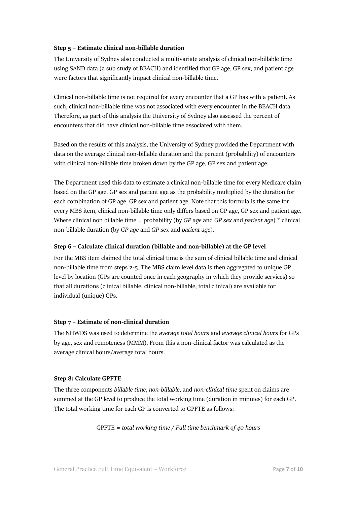#### **Step 5 – Estimate clinical non-billable duration**

The University of Sydney also conducted a multivariate analysis of clinical non-billable time using SAND data (a sub study of BEACH) and identified that GP age, GP sex, and patient age were factors that significantly impact clinical non-billable time.

Clinical non-billable time is not required for every encounter that a GP has with a patient. As such, clinical non-billable time was not associated with every encounter in the BEACH data. Therefore, as part of this analysis the University of Sydney also assessed the percent of encounters that did have clinical non-billable time associated with them.

Based on the results of this analysis, the University of Sydney provided the Department with data on the average clinical non-billable duration and the percent (probability) of encounters with clinical non-billable time broken down by the GP age, GP sex and patient age.

The Department used this data to estimate a clinical non-billable time for every Medicare claim based on the GP age, GP sex and patient age as the probability multiplied by the duration for each combination of GP age, GP sex and patient age. Note that this formula is the same for every MBS item, clinical non-billable time only differs based on GP age, GP sex and patient age. Where clinical non billable time = probability (by *GP age* and *GP sex* and *patient age*) \* clinical non-billable duration (by *GP age* and *GP sex* and *patient age*).

#### **Step 6 – Calculate clinical duration (billable and non-billable) at the GP level**

For the MBS item claimed the total clinical time is the sum of clinical billable time and clinical non-billable time from steps 2-5. The MBS claim level data is then aggregated to unique GP level by location (GPs are counted once in each geography in which they provide services) so that all durations (clinical billable, clinical non-billable, total clinical) are available for individual (unique) GPs.

#### **Step 7 – Estimate of non-clinical duration**

The NHWDS was used to determine the *average total hours* and *average clinical hours* for GPs by age, sex and remoteness (MMM). From this a non-clinical factor was calculated as the average clinical hours/average total hours.

#### **Step 8: Calculate GPFTE**

The three components *billable time*, *non-billable*, and *non-clinical time* spent on claims are summed at the GP level to produce the total working time (duration in minutes) for each GP. The total working time for each GP is converted to GPFTE as follows:

GPFTE = *total working time / Full time benchmark of 40 hours*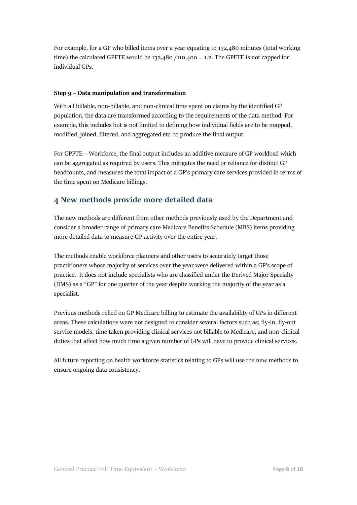For example, for a GP who billed items over a year equating to 132,480 minutes (total working time) the calculated GPFTE would be  $132,480 / 110,400 = 1.2$ . The GPFTE is not capped for individual GPs.

#### **Step 9 – Data manipulation and transformation**

With all billable, non-billable, and non-clinical time spent on claims by the identified GP population, the data are transformed according to the requirements of the data method. For example, this includes but is not limited to defining how individual fields are to be mapped, modified, joined, filtered, and aggregated etc. to produce the final output.

For GPFTE – Workforce, the final output includes an additive measure of GP workload which can be aggregated as required by users. This mitigates the need or reliance for distinct GP headcounts, and measures the total impact of a GP's primary care services provided in terms of the time spent on Medicare billings.

# **4 New methods provide more detailed data**

The new methods are different from other methods previously used by the Department and consider a broader range of primary care Medicare Benefits Schedule (MBS) items providing more detailed data to measure GP activity over the entire year.

The methods enable workforce planners and other users to accurately target those practitioners whose majority of services over the year were delivered within a GP's scope of practice. It does not include specialists who are classified under the Derived Major Specialty (DMS) as a "GP" for one quarter of the year despite working the majority of the year as a specialist.

Previous methods relied on GP Medicare billing to estimate the availability of GPs in different areas. These calculations were not designed to consider several factors such as; fly-in, fly-out service models, time taken providing clinical services not billable to Medicare, and non-clinical duties that affect how much time a given number of GPs will have to provide clinical services.

All future reporting on health workforce statistics relating to GPs will use the new methods to ensure ongoing data consistency.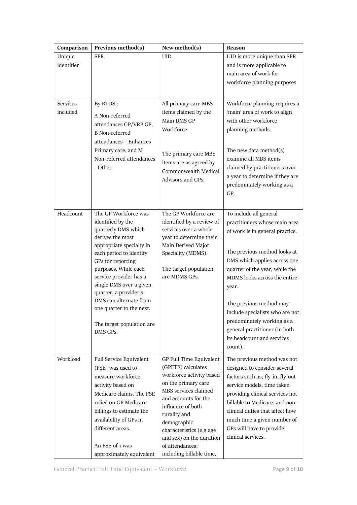| Comparison           | Previous method(s)                                                                                                                                                                                                                                                                                                                                                    | New method(s)                                                                                                                                                                                                                                                                                               | Reason                                                                                                                                                                                                                                                                                                                                                                                                      |
|----------------------|-----------------------------------------------------------------------------------------------------------------------------------------------------------------------------------------------------------------------------------------------------------------------------------------------------------------------------------------------------------------------|-------------------------------------------------------------------------------------------------------------------------------------------------------------------------------------------------------------------------------------------------------------------------------------------------------------|-------------------------------------------------------------------------------------------------------------------------------------------------------------------------------------------------------------------------------------------------------------------------------------------------------------------------------------------------------------------------------------------------------------|
| Unique<br>identifier | <b>SPR</b>                                                                                                                                                                                                                                                                                                                                                            | <b>UID</b>                                                                                                                                                                                                                                                                                                  | UID is more unique than SPR<br>and is more applicable to<br>main area of work for<br>workforce planning purposes                                                                                                                                                                                                                                                                                            |
| Services<br>included | By BTOS:<br>A Non-referred<br>attendances GP/VRP GP,<br><b>B</b> Non-referred<br>attendances - Enhances<br>Primary care, and M<br>Non-referred attendances<br>- Other                                                                                                                                                                                                 | All primary care MBS<br>items claimed by the<br>Main DMS GP<br>Workforce.<br>The primary care MBS<br>items are as agreed by<br>Commonwealth Medical<br>Advisors and GPs.                                                                                                                                    | Workforce planning requires a<br>'main' area of work to align<br>with other workforce<br>planning methods.<br>The new data method $(s)$<br>examine all MBS items<br>claimed by practitioners over<br>a year to determine if they are<br>predominately working as a<br>GP.                                                                                                                                   |
| Headcount            | The GP Workforce was<br>identified by the<br>quarterly DMS which<br>derives the most<br>appropriate specialty in<br>each period to identify<br>GPs for reporting<br>purposes. While each<br>service provider has a<br>single DMS over a given<br>quarter, a provider's<br>DMS can alternate from<br>one quarter to the next.<br>The target population are<br>DMS GPs. | The GP Workforce are<br>identified by a review of<br>services over a whole<br>year to determine their<br>Main Derived Major<br>Speciality (MDMS).<br>The target population<br>are MDMS GPs.                                                                                                                 | To include all general<br>practitioners whose main area<br>of work is in general practice.<br>The previous method looks at<br>DMS which applies across one<br>quarter of the year, while the<br>MDMS looks across the entire<br>year.<br>The previous method may<br>include specialists who are not<br>predominately working as a<br>general practitioner (in both<br>its headcount and services<br>count). |
| Workload             | Full Service Equivalent<br>(FSE) was used to<br>measure workforce<br>activity based on<br>Medicare claims. The FSE<br>relied on GP Medicare<br>billings to estimate the<br>availability of GPs in<br>different areas.<br>An FSE of 1 was<br>approximately equivalent                                                                                                  | GP Full Time Equivalent<br>(GPFTE) calculates<br>workforce activity based<br>on the primary care<br>MBS services claimed<br>and accounts for the<br>influence of both<br>rurality and<br>demographic<br>characteristics (e.g age<br>and sex) on the duration<br>of attendances:<br>including billable time, | The previous method was not<br>designed to consider several<br>factors such as; fly-in, fly-out<br>service models, time taken<br>providing clinical services not<br>billable to Medicare, and non-<br>clinical duties that affect how<br>much time a given number of<br>GPs will have to provide<br>clinical services.                                                                                      |